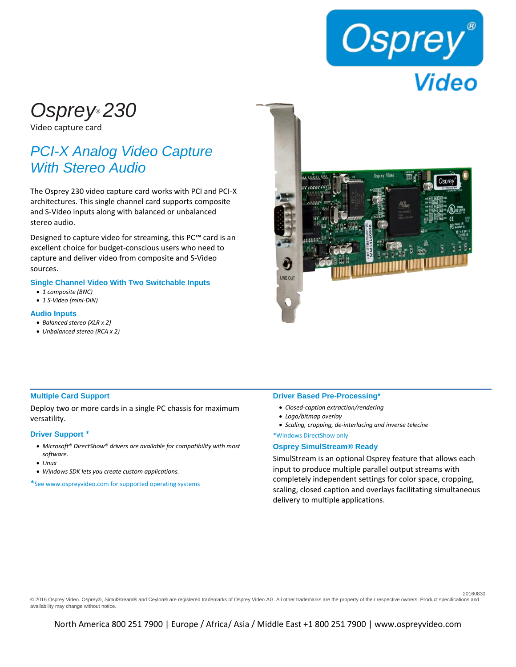

# *Osprey® 230*

Video capture card

# *PCI-X Analog Video Capture With Stereo Audio*

The Osprey 230 video capture card works with PCI and PCI-X architectures. This single channel card supports composite and S-Video inputs along with balanced or unbalanced stereo audio.

Designed to capture video for streaming, this PC™ card is an excellent choice for budget-conscious users who need to capture and deliver video from composite and S-Video sources.

### **Single Channel Video With Two Switchable Inputs**

- *1 composite (BNC)*
- *1 S-Video (mini-DIN)*

## **Audio Inputs**

- *Balanced stereo (XLR x 2)*
- *Unbalanced stereo (RCA x 2)*



### **Multiple Card Support**

Deploy two or more cards in a single PC chassis for maximum versatility.

#### **Driver Support** \*

- *Microsoft® DirectShow® drivers are available for compatibility with most software.*
- *Linux*
- *Windows SDK lets you create custom applications.*

\*See www.ospreyvideo.com for supported operating systems

#### **Driver Based Pre-Processing\***

- *Closed-caption extraction/rendering*
- *Logo/bitmap overlay*
- *Scaling, cropping, de-interlacing and inverse telecine*
- \*Windows DirectShow only

#### **Osprey SimulStream® Ready**

SimulStream is an optional Osprey feature that allows each input to produce multiple parallel output streams with completely independent settings for color space, cropping, scaling, closed caption and overlays facilitating simultaneous delivery to multiple applications.

20160830

© 2016 Osprey Video. Osprey®, SimulStream® and Ceylon® are registered trademarks of Osprey Video AG. All other trademarks are the property of their respective owners. Product specifications and availability may change without notice.